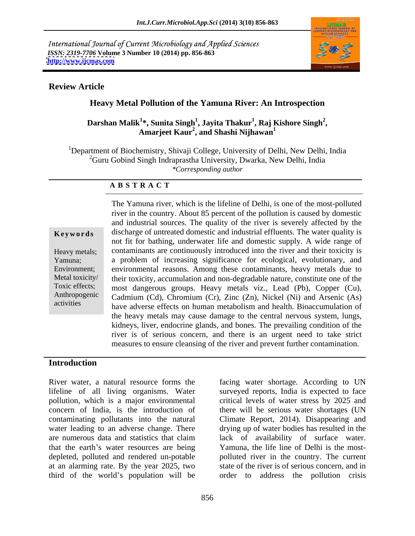International Journal of Current Microbiology and Applied Sciences *ISSN: 2319-7706* **Volume 3 Number 10 (2014) pp. 856-863 <http://www.ijcmas.com>**



### **Review Article**

## **Heavy Metal Pollution of the Yamuna River: An Introspection**

#### **Darshan Malik<sup>1</sup> \*, Sunita Singh<sup>1</sup> , Jayita Thakur<sup>1</sup> , Amarjeet Kaur2 , Raj Kishore Singh<sup>2</sup> , and Shashi Nijhawan<sup>1</sup>**

<sup>1</sup>Department of Biochemistry, Shivaji College, University of Delhi, New Delhi, India  ${}^{2}$ Guru Gobind Singh Indraprastha University, Dwarka, New Delhi, India *\*Corresponding author*

### **A B S T R A C T**

**Keywords** discharge of untreated domestic and industrial effluents. The water quality is Heavy metals; contaminants are continuously introduced into the river and their toxicity is Yamuna; a problem of increasing significance for ecological, evolutionary, and Environment; environmental reasons. Among these contaminants, heavy metals due to Metal toxicity/ their toxicity, accumulation and non-degradable nature, constitute one of the Toxic effects; most dangerous groups. Heavy metals viz., Lead (Pb), Copper (Cu), Anthropogenic Cadmium (Cd), Chromium (Cr), Zinc (Zn), Nickel (Ni) and Arsenic (As) activities have adverse effects on human metabolism and health. Bioaccumulation of The Yamuna river, which is the lifeline of Delhi, is one of the most-polluted river in the country. About 85 percent of the pollution is caused by domestic and industrial sources. The quality of the river is severely affected by the not fit for bathing, underwater life and domestic supply. A wide range of the heavy metals may cause damage to the central nervous system, lungs, kidneys, liver, endocrine glands, and bones. The prevailing condition of the river is of serious concern, and there is an urgent need to take strict measures to ensure cleansing of the river and prevent further contamination.

### **Introduction**

River water, a natural resource forms the facing water shortage. According to UN lifeline of all living organisms. Water surveyed reports, India is expected to face pollution, which is a major environmental critical levels of water stress by 2025 and concern of India, is the introduction of there will be serious water shortages (UN contaminating pollutants into the natural Climate Report, 2014). Disappearing and water leading to an adverse change. There are numerous data and statistics that claim lack of availability of surface water. that the earth's water resources are being Yamuna, the life line of Delhi is the mostdepleted, polluted and rendered un-potable polluted river in the country. The current at an alarming rate. By the year 2025, two state of the river is of serious concern, and in third of the world's population will be

drying up of water bodies has resulted in the order to address the pollution crisis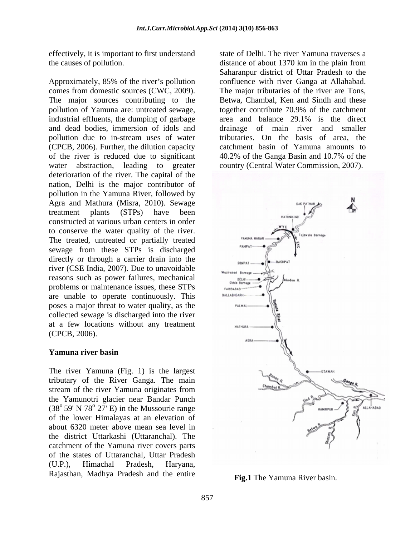effectively, it is important to first understand state of Delhi. The river Yamuna traverses a

Approximately, 85% of the river's pollution comes from domestic sources (CWC, 2009). The major sources contributing to the pollution of Yamuna are: untreated sewage, industrial effluents, the dumping of garbage area and balance 29.1% is the direct and dead bodies, immersion of idols and drainage of main river and smaller pollution due to in-stream uses of water (CPCB, 2006). Further, the dilution capacity of the river is reduced due to significant 40.2% of the Ganga Basin and 10.7% of the water abstraction, leading to greater country (Central Water Commission, 2007). deterioration of the river. The capital of the nation, Delhi is the major contributor of pollution in the Yamuna River, followed by Agra and Mathura (Misra, 2010). Sewage constructed at various urban centers in order to conserve the water quality of the river. The treated, untreated or partially treated sewage from these STPs is discharged directly or through a carrier drain into the river (CSE India, 2007). Due to unavoidable reasons such as power failures, mechanical problems or maintenance issues, these STPs are unable to operate continuously. This poses a major threat to water quality, as the collected sewage is discharged into the river at a few locations without any treatment  $(CPCB, 2006).$ 

### **Yamuna river basin**

The river Yamuna (Fig. 1) is the largest tributary of the River Ganga. The main stream of the river Yamuna originates from the Yamunotri glacier near Bandar Punch of the lower Himalayas at an elevation of about 6320 meter above mean sea level in the district Uttarkashi (Uttaranchal). The catchment of the Yamuna river covers parts of the states of Uttaranchal, Uttar Pradesh Rajasthan, Madhya Pradesh and the entire

the causes of pollution. distance of about 1370 km in the plain from Saharanpur district of Uttar Pradesh to the confluence with river Ganga at Allahabad. The major tributaries of the river are Tons. Betwa, Chambal, Ken and Sindh and these together contribute 70.9% of the catchment tributaries. On the basis of area, the catchment basin of Yamuna amounts to 40.2% of the Ganga Basin and 10.7% of the



**Fig.1** The Yamuna River basin.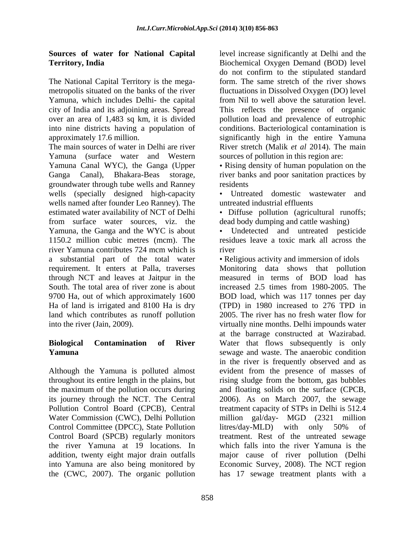## **Sources of water for NationalCapital**

The National Capital Territory is the mega- Yamuna, which includes Delhi- the capital city of India and its adjoining areas. Spread

The main sources of water in Delhi are river River stretch (Malik *et al* 2014). The main Yamuna (surface water and Western Yamuna Canal WYC), the Ganga (Upper • Rising density of human population on the Ganga Canal), Bhakara-Beas storage, river banks and poor sanitation practices by groundwater through tube wells and Ranney wells (specially designed high-capacity wells named after founder Leo Ranney). The estimated water availability of NCT of Delhi • Diffuse pollution (agricultural runoffs; from surface water sources, viz. the Yamuna, the Ganga and the WYC is about 1150.2 million cubic metres (mcm). The river Yamuna contributes 724 mcm which is river a substantial part of the total water Religious activity and immersion of idols requirement. It enters at Palla, traverses Monitoring data shows that pollution through NCT and leaves at Jaitpur in the South. The total area of river zone is about increased 2.5 times from 1980-2005. The 9700 Ha, out of which approximately 1600 BOD load, which was 117 tonnes per day Ha of land is irrigated and 8100 Ha is dry (TPD) in 1980 increased to 276 TPD in land which contributes as runoff pollution into the river (Jain, 2009). virtually nine months. Delhi impounds water

Although the Yamuna is polluted almost Control Committee (DPCC), State Pollution litres/day-MLD) with only 50% of Control Board (SPCB) regularly monitors the river Yamuna at 19 locations. In the (CWC, 2007). The organic pollution has 17 sewage treatment plants with a

**Territory, India**  Biochemical Oxygen Demand (BOD) level metropolis situated on the banks of the river fluctuations in Dissolved Oxygen (DO) level over an area of 1,483 sq km, it is divided pollution load and prevalence of eutrophic into nine districts having a population of conditions. Bacteriological contamination is approximately 17.6 million. significantly high in the entire Yamuna level increase significantly at Delhi and the do not confirm to the stipulated standard form. The same stretch of the river shows from Nil to well above the saturation level. This reflects the presence of organic sources of pollution in this region are:

residents and the set of the set of the set of the set of the set of the set of the set of the set of the set of the set of the set of the set of the set of the set of the set of the set of the set of the set of the set of

Untreated domestic wastewater and untreated industrial effluents

dead body dumping and cattle washing)

Undetected and untreated pesticide residues leave a toxic mark all across the river

**Biological Contamination of River** Water that flows subsequently is only **Yamuna** sewage and waste. The anaerobic condition throughout its entire length in the plains, but rising sludge from the bottom, gas bubbles the maximum of the pollution occurs during and floating solids on the surface (CPCB, its journey through the NCT. The Central 2006). As on March 2007, the sewage Pollution Control Board (CPCB), Central treatment capacity of STPs in Delhi is 512.4 Water Commission (CWC), Delhi Pollution million gal/day- MGD (2321 million addition, twenty eight major drain outfalls major cause of river pollution (Delhi into Yamuna are also being monitored by Economic Survey, 2008). The NCT region measured in terms of BOD load has 2005. The river has no fresh water flow for at the barrage constructed at Wazirabad. in the river is frequently observed and as evident from the presence of masses of litres/day-MLD) with only 50% of treatment. Rest of the untreated sewage which falls into the river Yamuna is the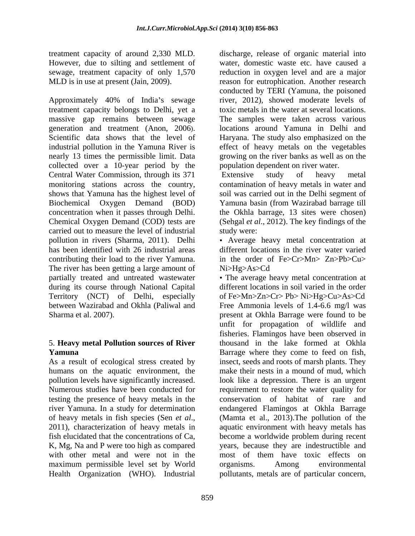treatment capacity of around 2,330 MLD.

Approximately 40% of India's sewage treatment capacity belongs to Delhi, yet a toxic metals in the water at several locations. massive gap remains between sewage The samples were taken across various generation and treatment (Anon, 2006). Iocations around Yamuna in Delhi and Scientific data shows that the level of Haryana. The study also emphasized on the industrial pollution in the Yamuna River is effect of heavy metals on the vegetables nearly 13 times the permissible limit. Data collected over a 10-year period by the Central Water Commission, through its 371 Extensive study of heavy metal monitoring stations across the country, contamination of heavy metals in water and shows that Yamuna has the highest level of soil was carried out in the Delhi segment of Biochemical Oxygen Demand (BOD) Yamuna basin (from Wazirabad barrage till concentration when it passes through Delhi. the Okhla barrage, 13 sites were chosen) Chemical Oxygen Demand (COD) tests are carried out to measure the level of industrial pollution in rivers (Sharma, 2011). Delhi Average heavy metal concentration at has been identified with 26 industrial areas different locations in the river water varied contributing their load to the river Yamuna. The river has been getting a large amount of Ni>Hg>As>Cd during its course through National Capital

# 5. **Heavy metal Pollution sources of River**

humans on the aquatic environment, the testing the presence of heavy metals in the fish elucidated that the concentrations of Ca, K, Mg, Na and P were too high as compared maximum permissible level set by World organisms. Among environmental Health Organization (WHO). Industrial pollutants, metals are of particular concern,

However, due to silting and settlement of water, domestic waste etc. have caused a sewage, treatment capacity of only 1,570 reduction in oxygen level and are a major MLD is in use at present (Jain, 2009). reason for eutrophication. Another research discharge, release of organic material into conducted by TERI (Yamuna, the poisoned river, 2012), showed moderate levels of locations around Yamuna in Delhi and Haryana. The study also emphasized on the growing on the river banks as well as on the population dependent on river water.

Extensive study of heavy metal (Sehgal *et al*., 2012). The key findings of the study were:

in the order of Fe>Cr>Mn> Zn>Pb>Cu> Ni>Hg>As>Cd

partially treated and untreated wastewater The average heavy metal concentration at Territory (NCT) of Delhi, especially of Fe>Mn>Zn>Cr> Pb> Ni>Hg>Cu>As>Cd between Wazirabad and Okhla (Paliwal and Free Ammonia levels of 1.4-6.6 mg/l was Sharma et al. 2007). present at Okhla Barrage were found to be **Yamuna**  Barrage where they come to feed on fish, As a result of ecological stress created by insect, seeds and roots of marsh plants. They pollution levels have significantly increased. look like a depression. There is an urgent Numerous studies have been conducted for requirement to restore the water quality for river Yamuna. In a study for determination and endangered Flamingos at Okhla Barrage of heavy metals in fish species (Sen *et al.*, (Mamta et al., 2013). The pollution of the 2011), characterization of heavy metals in aquatic environment with heavy metals has with other metal and were not in the most of them have toxic effects on different locations in soil varied in the order unfit for propagation of wildlife and fisheries. Flamingos have been observed in thousand in the lake formed at Okhla make their nests in a mound of mud, which conservation of habitat of rare and (Mamta et al., 2013).The pollution of the aquatic environment with heavy metals has become a worldwide problem during recent years, because they are indestructible and organisms. Among environmental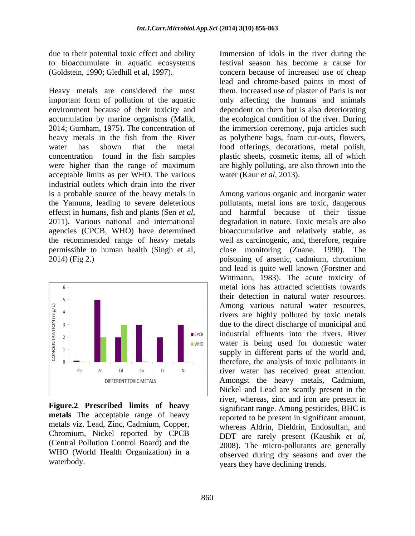Heavy metals are considered the most them. Increased use of plaster of Paris is not important form of pollution of the aquatic environment because of their toxicity and dependent on them but is also deteriorating accumulation by marine organisms (Malik, the ecological condition of the river. During 2014; Gurnham, 1975). The concentration of the immersion ceremony, puja articles such heavy metals in the fish from the River as polythene bags, foam cut-outs, flowers, water has shown that the metal food offerings, decorations, metal polish, concentration found in the fish samples plastic sheets, cosmetic items, all of which were higher than the range of maximum are highly polluting, are also thrown into the acceptable limits as per WHO. The various industrial outlets which drain into the river 2014) (Fig 2.) poisoning of arsenic, cadmium, chromium



**Figure.2 Prescribed limits of heavy metals** The acceptable range of heavy metals viz. Lead, Zinc, Cadmium, Copper, WHO (World Health Organization) in a

due to their potential toxic effect and ability Immersion of idols in the river during the to bioaccumulate in aquatic ecosystems festival season has become a cause for (Goldstein, 1990; Gledhill et al, 1997). concern because of increased use of cheap lead and chrome-based paints in most of only affecting the humans and animals the ecological condition of the river. During the immersion ceremony, puja articles such are highly polluting, are also thrown into the water (Kaur *et al*, 2013).

is a probable source of the heavy metals in Among various organic and inorganic water the Yamuna, leading to severe deleterious pollutants, metal ions are toxic, dangerous effecst in humans, fish and plants (Sen *et al*, and harmful because of their tissue 2011). Various national and international degradation in nature. Toxic metals are also agencies (CPCB, WHO) have determined bioaccumulative and relatively stable, as the recommended range of heavy metals well as carcinogenic, and, therefore, require permissible to human health (Singh et al, close monitoring (Zuane, 1990). The Chromium, Nickel reported by CPCB DDT are rarely present (Kaushik et al. (Central Pollution Control Board) and the 2008). The micro-pollutants are generally waterbody. vears they have declining trends. and harmful because of their tissue degradation in nature. Toxic metals are also poisoning of arsenic, cadmium, chromium and lead is quite well known (Forstner and Wittmann, 1983). The acute toxicity of metal ions has attracted scientists towards their detection in natural water resources. Among various natural water resources, rivers are highly polluted by toxic metals due to the direct discharge of municipal and industrial effluents into the rivers. River water is being used for domestic water supply in different parts of the world and, therefore, the analysis of toxic pollutants in river water has received great attention. Amongst the heavy metals, Cadmium, Nickel and Lead are scantly present in the river, whereas, zinc and iron are present in significant range. Among pesticides, BHC is reported to be present in significant amount, whereas Aldrin, Dieldrin, Endosulfan, and DDT are rarely present (Kaushik *et al*, 2008). The micro-pollutants are generally observed during dry seasons and over the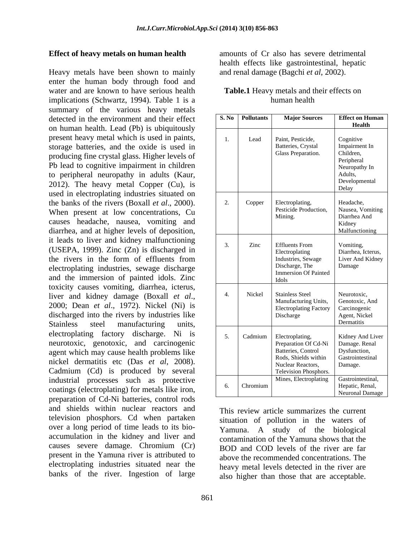### **Effect of heavy metals on human health**

Heavy metals have been shown to mainly enter the human body through food and water and are known to have serious health implications (Schwartz, 1994). Table 1 is a summary of the various heavy metals detected in the environment and their effect on human health. Lead (Pb) is ubiquitously present heavy metal which is used in paints, storage batteries, and the oxide is used in producing fine crystal glass. Higher levels of Pb lead to cognitive impairment in children to peripheral neuropathy in adults (Kaur, 2012). The heavy metal Copper (Cu), is used in electroplating industries situated on the banks of the rivers (Boxall *et al*., 2000). When present at low concentrations, Cu causes headache, nausea, vomiting and diarrhea, and at higher levels of deposition, it leads to liver and kidney malfunctioning (USEPA, 1999). Zinc (Zn) is discharged in electroplating industries, sewage discharge and the immersion of painted idols. Zinc toxicity causes vomiting, diarrhea, icterus, discharged into the rivers by industries like electroplating factory discharge. Ni is neurotoxic, genotoxic, and carcinogenic agent which may cause health problems like nickel dermatitis etc (Das *et al*, 2008). Cadmium (Cd) is produced by several industrial processes such as protective coatings (electroplating) for metals like iron, <br>
and the control of the control of the control of the curonal Damage preparation of Cd-Ni batteries, control rods and shields within nuclear reactors and television phosphors. Cd when partaken over a long period of time leads to its bio accumulation in the kidney and liver and causes severe damage. Chromium (Cr) present in the Yamuna river is attributed to electroplating industries situated near the banks of the river. Ingestion of large

amounts of Cr also has severe detrimental health effects like gastrointestinal, hepatic and renal damage (Bagchi *et al*, 2002).

| Health<br>Cognitive<br>Lead<br>Paint, Pesticide,<br>Impairment In<br>Batteries, Crystal<br>storage batteries, and the oxide is used in<br>Children,<br>Glass Preparation.<br>producing fine crystal glass. Higher levels of<br>Peripheral<br>Pb lead to cognitive impairment in children<br>Neuropathy In<br>to peripheral neuropathy in adults (Kaur,<br>Adults.<br>Developmental<br>2012). The heavy metal Copper (Cu), is<br>Delay<br>used in electroplating industries situated on<br>the banks of the rivers (Boxall et al., 2000).<br>Headache,<br>Copper Electroplating<br>Pesticide Production,<br>Nausea, Vomiting<br>When present at low concentrations, Cu<br>Diarrhea And<br>Mining.<br>causes headache, nausea, vomiting and<br>Kidney<br>diarrhea, and at higher levels of deposition,<br>Malfunctioning<br>it leads to liver and kidney malfunctioning<br>Vomiting.<br><b>Effluents</b> From<br>Zinc<br>(USEPA, 1999). Zinc (Zn) is discharged in<br>Diarrhea, Icterus,<br>Electroplating<br>the rivers in the form of effluents from<br>Liver And Kidney<br>Industries, Sewage<br>Discharge, The<br>Damage<br>electroplating industries, sewage discharge<br>Immersion Of Painted<br>and the immersion of painted idols. Zinc<br><b>Idols</b><br>toxicity causes vomiting, diarrhea, icterus,<br>Stainless Steel<br>Nickel<br>Neurotoxic.<br>liver and kidney damage (Boxall et al.,<br>Manufacturing Units,<br>Genotoxic, And<br>2000; Dean et al., 1972). Nickel (Ni) is<br>Carcinogenic<br><b>Electroplating Factory</b><br>discharged into the rivers by industries like<br>Agent, Nickel<br><b>Discharge</b><br>Dermatitis<br>units,<br>5.   Cadmium   Electroplating<br>Kidney And Liver<br>Preparation Of Cd-Ni<br>Damage. Renal<br>Dysfunction,<br>Batteries, Control<br>Rods, Shields within<br>Gastrointestinal<br>Nuclear Reactors.<br>Damage.<br>Television Phosphors.<br>Mines, Electroplating<br>Gastrointestinal,<br>Hepatic, Renal,<br>6. Chromium | detected in the environment and their effect    | S. No Pollutants | <b>Major Sources</b> | <b>Effect on Human</b> |
|------------------------------------------------------------------------------------------------------------------------------------------------------------------------------------------------------------------------------------------------------------------------------------------------------------------------------------------------------------------------------------------------------------------------------------------------------------------------------------------------------------------------------------------------------------------------------------------------------------------------------------------------------------------------------------------------------------------------------------------------------------------------------------------------------------------------------------------------------------------------------------------------------------------------------------------------------------------------------------------------------------------------------------------------------------------------------------------------------------------------------------------------------------------------------------------------------------------------------------------------------------------------------------------------------------------------------------------------------------------------------------------------------------------------------------------------------------------------------------------------------------------------------------------------------------------------------------------------------------------------------------------------------------------------------------------------------------------------------------------------------------------------------------------------------------------------------------------------------------------------------------------------------------------------------------------------------------------------------------|-------------------------------------------------|------------------|----------------------|------------------------|
|                                                                                                                                                                                                                                                                                                                                                                                                                                                                                                                                                                                                                                                                                                                                                                                                                                                                                                                                                                                                                                                                                                                                                                                                                                                                                                                                                                                                                                                                                                                                                                                                                                                                                                                                                                                                                                                                                                                                                                                    | on human health. Lead (Pb) is ubiquitously      |                  |                      |                        |
|                                                                                                                                                                                                                                                                                                                                                                                                                                                                                                                                                                                                                                                                                                                                                                                                                                                                                                                                                                                                                                                                                                                                                                                                                                                                                                                                                                                                                                                                                                                                                                                                                                                                                                                                                                                                                                                                                                                                                                                    | present heavy metal which is used in paints,    |                  |                      |                        |
|                                                                                                                                                                                                                                                                                                                                                                                                                                                                                                                                                                                                                                                                                                                                                                                                                                                                                                                                                                                                                                                                                                                                                                                                                                                                                                                                                                                                                                                                                                                                                                                                                                                                                                                                                                                                                                                                                                                                                                                    |                                                 |                  |                      |                        |
|                                                                                                                                                                                                                                                                                                                                                                                                                                                                                                                                                                                                                                                                                                                                                                                                                                                                                                                                                                                                                                                                                                                                                                                                                                                                                                                                                                                                                                                                                                                                                                                                                                                                                                                                                                                                                                                                                                                                                                                    |                                                 |                  |                      |                        |
|                                                                                                                                                                                                                                                                                                                                                                                                                                                                                                                                                                                                                                                                                                                                                                                                                                                                                                                                                                                                                                                                                                                                                                                                                                                                                                                                                                                                                                                                                                                                                                                                                                                                                                                                                                                                                                                                                                                                                                                    |                                                 |                  |                      |                        |
|                                                                                                                                                                                                                                                                                                                                                                                                                                                                                                                                                                                                                                                                                                                                                                                                                                                                                                                                                                                                                                                                                                                                                                                                                                                                                                                                                                                                                                                                                                                                                                                                                                                                                                                                                                                                                                                                                                                                                                                    |                                                 |                  |                      |                        |
|                                                                                                                                                                                                                                                                                                                                                                                                                                                                                                                                                                                                                                                                                                                                                                                                                                                                                                                                                                                                                                                                                                                                                                                                                                                                                                                                                                                                                                                                                                                                                                                                                                                                                                                                                                                                                                                                                                                                                                                    |                                                 |                  |                      |                        |
|                                                                                                                                                                                                                                                                                                                                                                                                                                                                                                                                                                                                                                                                                                                                                                                                                                                                                                                                                                                                                                                                                                                                                                                                                                                                                                                                                                                                                                                                                                                                                                                                                                                                                                                                                                                                                                                                                                                                                                                    |                                                 |                  |                      |                        |
|                                                                                                                                                                                                                                                                                                                                                                                                                                                                                                                                                                                                                                                                                                                                                                                                                                                                                                                                                                                                                                                                                                                                                                                                                                                                                                                                                                                                                                                                                                                                                                                                                                                                                                                                                                                                                                                                                                                                                                                    |                                                 |                  |                      |                        |
|                                                                                                                                                                                                                                                                                                                                                                                                                                                                                                                                                                                                                                                                                                                                                                                                                                                                                                                                                                                                                                                                                                                                                                                                                                                                                                                                                                                                                                                                                                                                                                                                                                                                                                                                                                                                                                                                                                                                                                                    |                                                 |                  |                      |                        |
|                                                                                                                                                                                                                                                                                                                                                                                                                                                                                                                                                                                                                                                                                                                                                                                                                                                                                                                                                                                                                                                                                                                                                                                                                                                                                                                                                                                                                                                                                                                                                                                                                                                                                                                                                                                                                                                                                                                                                                                    |                                                 |                  |                      |                        |
|                                                                                                                                                                                                                                                                                                                                                                                                                                                                                                                                                                                                                                                                                                                                                                                                                                                                                                                                                                                                                                                                                                                                                                                                                                                                                                                                                                                                                                                                                                                                                                                                                                                                                                                                                                                                                                                                                                                                                                                    |                                                 |                  |                      |                        |
|                                                                                                                                                                                                                                                                                                                                                                                                                                                                                                                                                                                                                                                                                                                                                                                                                                                                                                                                                                                                                                                                                                                                                                                                                                                                                                                                                                                                                                                                                                                                                                                                                                                                                                                                                                                                                                                                                                                                                                                    |                                                 |                  |                      |                        |
|                                                                                                                                                                                                                                                                                                                                                                                                                                                                                                                                                                                                                                                                                                                                                                                                                                                                                                                                                                                                                                                                                                                                                                                                                                                                                                                                                                                                                                                                                                                                                                                                                                                                                                                                                                                                                                                                                                                                                                                    |                                                 |                  |                      |                        |
|                                                                                                                                                                                                                                                                                                                                                                                                                                                                                                                                                                                                                                                                                                                                                                                                                                                                                                                                                                                                                                                                                                                                                                                                                                                                                                                                                                                                                                                                                                                                                                                                                                                                                                                                                                                                                                                                                                                                                                                    |                                                 |                  |                      |                        |
|                                                                                                                                                                                                                                                                                                                                                                                                                                                                                                                                                                                                                                                                                                                                                                                                                                                                                                                                                                                                                                                                                                                                                                                                                                                                                                                                                                                                                                                                                                                                                                                                                                                                                                                                                                                                                                                                                                                                                                                    |                                                 |                  |                      |                        |
|                                                                                                                                                                                                                                                                                                                                                                                                                                                                                                                                                                                                                                                                                                                                                                                                                                                                                                                                                                                                                                                                                                                                                                                                                                                                                                                                                                                                                                                                                                                                                                                                                                                                                                                                                                                                                                                                                                                                                                                    |                                                 |                  |                      |                        |
|                                                                                                                                                                                                                                                                                                                                                                                                                                                                                                                                                                                                                                                                                                                                                                                                                                                                                                                                                                                                                                                                                                                                                                                                                                                                                                                                                                                                                                                                                                                                                                                                                                                                                                                                                                                                                                                                                                                                                                                    |                                                 |                  |                      |                        |
|                                                                                                                                                                                                                                                                                                                                                                                                                                                                                                                                                                                                                                                                                                                                                                                                                                                                                                                                                                                                                                                                                                                                                                                                                                                                                                                                                                                                                                                                                                                                                                                                                                                                                                                                                                                                                                                                                                                                                                                    |                                                 |                  |                      |                        |
|                                                                                                                                                                                                                                                                                                                                                                                                                                                                                                                                                                                                                                                                                                                                                                                                                                                                                                                                                                                                                                                                                                                                                                                                                                                                                                                                                                                                                                                                                                                                                                                                                                                                                                                                                                                                                                                                                                                                                                                    |                                                 |                  |                      |                        |
|                                                                                                                                                                                                                                                                                                                                                                                                                                                                                                                                                                                                                                                                                                                                                                                                                                                                                                                                                                                                                                                                                                                                                                                                                                                                                                                                                                                                                                                                                                                                                                                                                                                                                                                                                                                                                                                                                                                                                                                    | Stainless steel manufacturing                   |                  |                      |                        |
|                                                                                                                                                                                                                                                                                                                                                                                                                                                                                                                                                                                                                                                                                                                                                                                                                                                                                                                                                                                                                                                                                                                                                                                                                                                                                                                                                                                                                                                                                                                                                                                                                                                                                                                                                                                                                                                                                                                                                                                    | electroplating factory discharge. Ni is         |                  |                      |                        |
|                                                                                                                                                                                                                                                                                                                                                                                                                                                                                                                                                                                                                                                                                                                                                                                                                                                                                                                                                                                                                                                                                                                                                                                                                                                                                                                                                                                                                                                                                                                                                                                                                                                                                                                                                                                                                                                                                                                                                                                    | neurotoxic, genotoxic, and carcinogenic         |                  |                      |                        |
|                                                                                                                                                                                                                                                                                                                                                                                                                                                                                                                                                                                                                                                                                                                                                                                                                                                                                                                                                                                                                                                                                                                                                                                                                                                                                                                                                                                                                                                                                                                                                                                                                                                                                                                                                                                                                                                                                                                                                                                    | agent which may cause health problems like      |                  |                      |                        |
|                                                                                                                                                                                                                                                                                                                                                                                                                                                                                                                                                                                                                                                                                                                                                                                                                                                                                                                                                                                                                                                                                                                                                                                                                                                                                                                                                                                                                                                                                                                                                                                                                                                                                                                                                                                                                                                                                                                                                                                    | nickel dermatitis etc (Das et al, 2008).        |                  |                      |                        |
|                                                                                                                                                                                                                                                                                                                                                                                                                                                                                                                                                                                                                                                                                                                                                                                                                                                                                                                                                                                                                                                                                                                                                                                                                                                                                                                                                                                                                                                                                                                                                                                                                                                                                                                                                                                                                                                                                                                                                                                    | Cadmium (Cd) is produced by several             |                  |                      |                        |
|                                                                                                                                                                                                                                                                                                                                                                                                                                                                                                                                                                                                                                                                                                                                                                                                                                                                                                                                                                                                                                                                                                                                                                                                                                                                                                                                                                                                                                                                                                                                                                                                                                                                                                                                                                                                                                                                                                                                                                                    | industrial processes such as protective         |                  |                      |                        |
|                                                                                                                                                                                                                                                                                                                                                                                                                                                                                                                                                                                                                                                                                                                                                                                                                                                                                                                                                                                                                                                                                                                                                                                                                                                                                                                                                                                                                                                                                                                                                                                                                                                                                                                                                                                                                                                                                                                                                                                    | coatings (electroplating) for metals like iron, |                  |                      | Neuronal Damage        |

| Table.1 Heav<br>y metals and their effects on |  |  |
|-----------------------------------------------|--|--|
| `uman health                                  |  |  |

This review article summarizes the current situation of pollution in the waters of Yamuna. A study of the biological contamination of the Yamuna shows that the BOD and COD levels of the river are far above the recommended concentrations. The heavy metal levels detected in the river are also higher than those that are acceptable.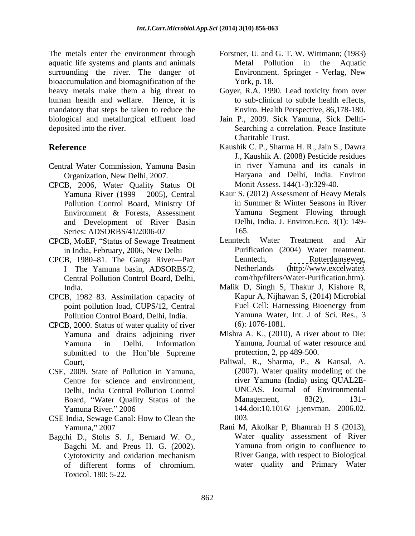The metals enter the environment through aquatic life systems and plants and animals surrounding the river. The danger of bioaccumulation and biomagnification of the York, p. 18. heavy metals make them a big threat to Goyer, R.A. 1990. Lead toxicity from over human health and welfare. Hence, it is mandatory that steps be taken to reduce the biological and metallurgical effluent load Jain P., 2009. Sick Yamuna, Sick Delhi deposited into the river. Searching a correlation. Peace Institute

- Central Water Commission, Yamuna Basin
- CPCB, 2006, Water Quality Status Of<br>Yamuna River (1999 2005), Central and Development of River Basin Series: ADSORBS/41/2006-07 165.
- in India, February, 2006, New Delhi
- CPCB, 1980–81. The Ganga River—Part Lenntech, I-The Yamuna basin, ADSORBS/2, Netherlands Central Pollution Control Board, Delhi,
- CPCB, 1982–83. Assimilation capacity of Kapur A, Nijhawan S, (2014) Microbial<br>point pollution load. CUPS/12. Central Fuel Cell: Harnessing Bioenergy from point pollution load, CUPS/12, Central Pollution Control Board, Delhi, India.
- CPCB, 2000. Status of water quality of river submitted to the Hon'ble Supreme
- CSE, 2009. State of Pollution in Yamuna, Centre for science and environment, Delhi, India Central Pollution Control
- CSE India, Sewage Canal: How to Clean the
- Bagchi D., Stohs S. J., Bernard W. O., Bagchi M. and Preus H. G. (2002). Toxicol. 180: 5-22.
- Forstner, U. and G. T. W. Wittmann; (1983) Metal Pollution in the Aquatic Environment. Springer - Verlag, New York, p. 18.
- to sub-clinical to subtle health effects, Enviro. Health Perspective, 86,178-180.
- Charitable Trust.
- **Reference** Kaushik C. P., Sharma H. R., Jain S., Dawra Organization, New Delhi, 2007. Haryana and Delhi, India. Environ J., Kaushik A. (2008) Pesticide residues in river Yamuna and its canals in Monit Assess. 144(1-3):329-40.
	- Yamuna River (1999 2005), Central Kaur S. (2012) Assessment of Heavy Metals Pollution Control Board, Ministry Of in Summer & Winter Seasons in River Environment & Forests, Assessment in Summer & Winter Seasons in River Yamuna Segment Flowing through Delhi, India. J. Environ.Eco. 3(1): 149- 165.
- CPCB, MoEF, "Status of Sewage Treatment Lenntech Water Treatment and Air Lenntech Water Treatment and Air Purification (2004) Water treatment. Rotterdamseweg, [\(http://www.excelwater](http://www.excelwater). com/thp/filters/Water-Purification.htm).
	- India. Malik D, Singh S, Thakur J, Kishore R, Kapur A, Nijhawan S, (2014) Microbial Fuel Cell: Harnessing Bioenergy from Yamuna Water, Int. J of Sci. Res., 3 (6): 1076-1081.
	- Yamuna and drains adjoining river Mishra A. K., (2010), A river about to Die: Yamuna in Delhi. Information Yamuna, Journal of water resource and protection, 2, pp 489-500.
	- Court, Paliwal, R., Sharma, P., & Kansal, A. Board, "Water Quality Status of the Management, 83(2), 131-Yamuna River. 2006 144.doi:10.1016/ j.jenvman. 2006.02. (2007). Water quality modeling of the river Yamuna (India) using QUAL2E- UNCAS. Journal of Environmental Management, 83(2), 131– 003.
	- Yamuna, 2007 Rani M, Akolkar P, Bhamrah H S (2013), Cytotoxicity and oxidation mechanism of different forms of chromium. water quality and Primary WaterWater quality assessment of River Yamuna from origin to confluence to River Ganga, with respect to Biological